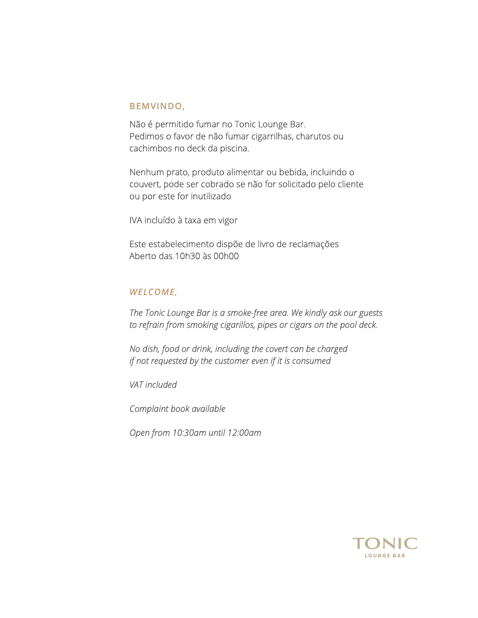#### BEMVINDO,

Não é permitido fumar no Tonic Lounge Bar. Pedimos o favor de não fumar cigarrilhas, charutos ou cachimbos no deck da piscina.

 Nenhum prato, produto alimentar ou bebida, incluindo o couvert, pode ser cobrado se não for solicitado pelo cliente ou por este for inutilizado

IVA incluído à taxa em vigor

 Este estabelecimento dispõe de livro de reclamações Aberto das 10h30 às 00h00

#### WELCOME,

The Tonic Lounge Bar is a smoke-free area. We kindly ask our guests to refrain from smoking cigarillos, pipes or cigars on the pool deck.

 No dish, food or drink, including the covert can be charged if not requested by the customer even if it is consumed

VAT included

Complaint book available

Open from 10:30am until 12:00am

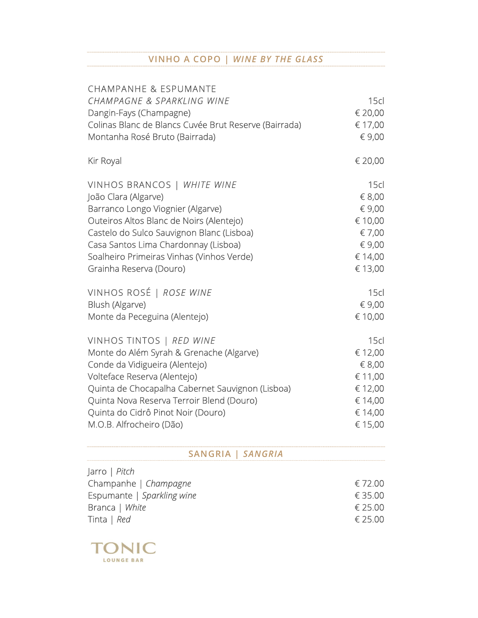### VINHO A COPO | WINE BY THE GLASS

| <b>CHAMPANHE &amp; ESPUMANTE</b>                      |                  |  |
|-------------------------------------------------------|------------------|--|
| CHAMPAGNE & SPARKLING WINE                            | 15c              |  |
| Dangin-Fays (Champagne)                               | € 20,00          |  |
| Colinas Blanc de Blancs Cuvée Brut Reserve (Bairrada) | € 17,00          |  |
| Montanha Rosé Bruto (Bairrada)                        | € 9,00           |  |
| Kir Royal                                             | € 20,00          |  |
| VINHOS BRANCOS   WHITE WINE                           | 15 <sub>cl</sub> |  |
| João Clara (Algarve)                                  | € 8,00           |  |
| Barranco Longo Viognier (Algarve)                     | € 9,00           |  |
| Outeiros Altos Blanc de Noirs (Alentejo)              | € 10,00          |  |
| Castelo do Sulco Sauvignon Blanc (Lisboa)             | € 7,00           |  |
| Casa Santos Lima Chardonnay (Lisboa)                  | € 9,00           |  |
| Soalheiro Primeiras Vinhas (Vinhos Verde)             | € 14,00          |  |
| Grainha Reserva (Douro)                               | € 13,00          |  |
| VINHOS ROSÉ   ROSE WINE                               | 15c              |  |
| Blush (Algarve)                                       | € 9,00           |  |
| Monte da Peceguina (Alentejo)                         | € 10,00          |  |
| VINHOS TINTOS   RED WINE                              | 15 <sub>cl</sub> |  |
| Monte do Além Syrah & Grenache (Algarve)              | € 12,00          |  |
| Conde da Vidigueira (Alentejo)                        | € 8,00           |  |
| Volteface Reserva (Alentejo)                          | € 11,00          |  |
| Quinta de Chocapalha Cabernet Sauvignon (Lisboa)      | € 12,00          |  |
| Quinta Nova Reserva Terroir Blend (Douro)             | € 14,00          |  |
| Quinta do Cidrô Pinot Noir (Douro)                    | € 14,00          |  |
| M.O.B. Alfrocheiro (Dão)                              | € 15,00          |  |

### SANGRIA | SANGRIA

| $\vert$ arro $\vert$ <i>Pitch</i> |         |
|-----------------------------------|---------|
| Champanhe   Champagne             | € 72.00 |
| Espumante   Sparkling wine        | € 35.00 |
| Branca   White                    | € 25.00 |
| Tinta   Red                       | € 25.00 |

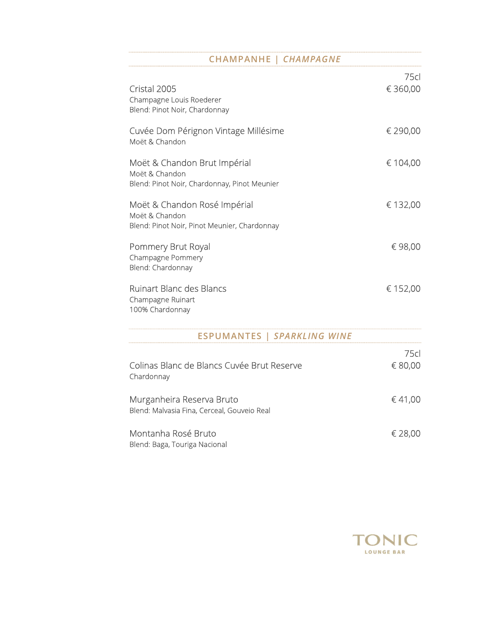### CHAMPANHE | CHAMPAGNE

| Cristal 2005<br>Champagne Louis Roederer<br>Blend: Pinot Noir, Chardonnay                      | 75cl<br>€360,00 |  |
|------------------------------------------------------------------------------------------------|-----------------|--|
| Cuvée Dom Pérignon Vintage Millésime<br>Moët & Chandon                                         | € 290,00        |  |
| Moët & Chandon Brut Impérial<br>Moët & Chandon<br>Blend: Pinot Noir, Chardonnay, Pinot Meunier | € 104,00        |  |
| Moët & Chandon Rosé Impérial<br>Moët & Chandon<br>Blend: Pinot Noir, Pinot Meunier, Chardonnay | € 132,00        |  |
| Pommery Brut Royal<br>Champagne Pommery<br>Blend: Chardonnay                                   | €98,00          |  |
| <b>Ruinart Blanc des Blancs</b><br>Champagne Ruinart<br>100% Chardonnay                        | € 152,00        |  |
| <b>ESPUMANTES   SPARKLING WINE</b>                                                             |                 |  |
| Colinas Blanc de Blancs Cuvée Brut Reserve<br>Chardonnay                                       | 75cl<br>€ 80,00 |  |

| Murganheira Reserva Bruto<br>Blend: Malvasia Fina, Cerceal, Gouveio Real | €41.00  |
|--------------------------------------------------------------------------|---------|
| Montanha Rosé Bruto<br>Blend: Baga, Touriga Nacional                     | € 28,00 |

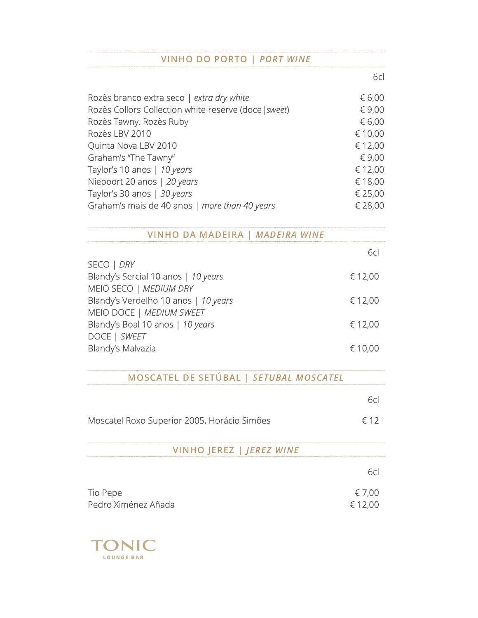### VINHO DO PORTO | PORT WINE

experience of the contract of the contract of the contract of the contract of the contract of the contract of the contract of the contract of the contract of the contract of the contract of the contract of the contract of

| Rozès branco extra seco   extra dry white             | € 6,00  |  |
|-------------------------------------------------------|---------|--|
| Rozès Collors Collection white reserve (doce   sweet) | € 9,00  |  |
| Rozès Tawny. Rozès Ruby                               | € 6,00  |  |
| Rozès LBV 2010                                        | € 10,00 |  |
| Quinta Nova LBV 2010                                  | € 12,00 |  |
| Graham's "The Tawny"                                  | € 9,00  |  |
| Taylor's 10 anos   10 years                           | € 12,00 |  |
| Niepoort 20 anos   20 years                           | € 18,00 |  |
| Taylor's 30 anos   30 years                           | € 25,00 |  |
| Graham's mais de 40 anos   more than 40 years         | € 28,00 |  |

VINHO DA MADEIRA | MADEIRA WINE

| 6cl     |
|---------|
|         |
| € 12,00 |
|         |
| € 12,00 |
|         |
| € 12,00 |
|         |
| € 10,00 |
|         |

MOSCATEL DE SETÚBAL | SETUBAL MOSCATEL

|                                             | 6cl               |
|---------------------------------------------|-------------------|
| Moscatel Roxo Superior 2005, Horácio Simões | $\epsilon$ 12     |
| VINHO JEREZ   JEREZ WINE                    |                   |
|                                             | 6cl               |
| Tio Pepe<br>Pedro Ximénez Añada             | € 7,00<br>€ 12,00 |

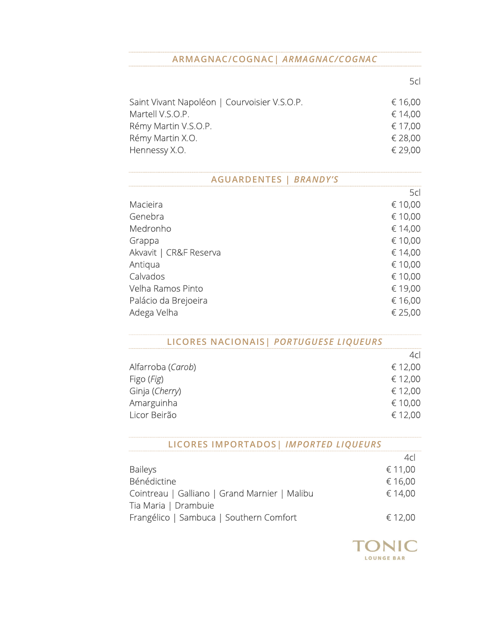### ARMAGNAC/COGNAC| ARMAGNAC/COGNAC

 $5c$ 

| Saint Vivant Napoléon   Courvoisier V.S.O.P. | € 16,00 |
|----------------------------------------------|---------|
| Martell V.S.O.P.                             | € 14.00 |
| Rémy Martin V.S.O.P.                         | € 17.00 |
| Rémy Martin X.O.                             | € 28,00 |
| Hennessy X.O.                                | € 29.00 |
|                                              |         |

| <b>AGUARDENTES   BRANDY'S</b> |         |
|-------------------------------|---------|
|                               | 5cl     |
| Macieira                      | € 10,00 |
| Genebra                       | € 10,00 |
| Medronho                      | € 14,00 |
| Grappa                        | € 10,00 |
| Akvavit   CR&F Reserva        | € 14,00 |
| Antiqua                       | € 10,00 |
| Calvados                      | € 10,00 |
| Velha Ramos Pinto             | € 19,00 |
| Palácio da Brejoeira          | € 16,00 |
| Adega Velha                   | € 25,00 |

### LICORES NACIONAIS| PORTUGUESE LIQUEURS

|                   | 4 <sub>cl</sub> |
|-------------------|-----------------|
| Alfarroba (Carob) | € 12,00         |
| Figo (Fig)        | € 12,00         |
| Ginja (Cherry)    | € 12,00         |
| Amarguinha        | € 10,00         |
| Licor Beirão      | € 12,00         |
|                   |                 |

## LICORES IMPORTADOS| IMPORTED LIQUEURS

|                                               | 4cl     |  |
|-----------------------------------------------|---------|--|
| <b>Baileys</b>                                | € 11,00 |  |
| Bénédictine                                   | € 16,00 |  |
| Cointreau   Galliano   Grand Marnier   Malibu | € 14,00 |  |
| Tia Maria   Drambuie                          |         |  |
| Frangélico   Sambuca   Southern Comfort       | € 12,00 |  |

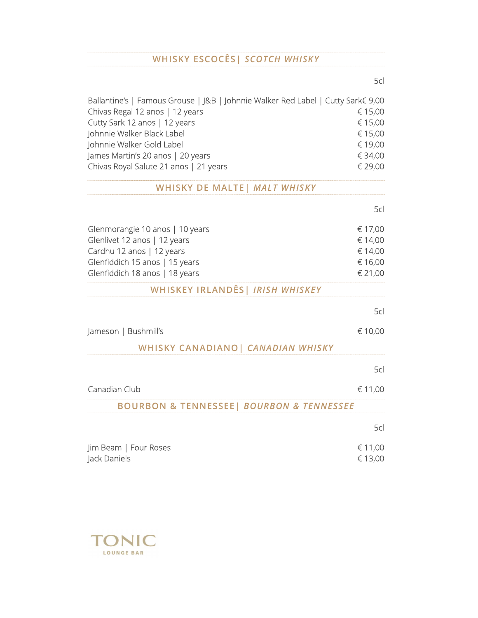# WHISKY ESCOCÊS | SCOTCH WHISKY

| Ballantine's   Famous Grouse   J&B   Johnnie Walker Red Label   Cutty Sark€ 9,00 |         |  |
|----------------------------------------------------------------------------------|---------|--|
| Chivas Regal 12 anos   12 years                                                  | € 15,00 |  |
| Cutty Sark 12 anos   12 years                                                    | € 15,00 |  |
| Johnnie Walker Black Label                                                       | € 15,00 |  |
| Johnnie Walker Gold Label                                                        | € 19,00 |  |
| James Martin's 20 anos   20 years                                                | € 34,00 |  |
| Chivas Royal Salute 21 anos   21 years                                           | € 29,00 |  |

## WHISKY DE MALTE | MALT WHISKY

|                                 | 5d      |  |
|---------------------------------|---------|--|
| Glenmorangie 10 anos   10 years | € 17,00 |  |
| Glenlivet 12 anos   12 years    | € 14,00 |  |
| Cardhu 12 anos   12 years       | € 14,00 |  |
| Glenfiddich 15 anos   15 years  | € 16,00 |  |
| Glenfiddich 18 anos   18 years  | € 21,00 |  |

# WHISKEY IRLANDÊS| IRISH WHISKEY

|                                                         | 5cl     |
|---------------------------------------------------------|---------|
| Jameson   Bushmill's                                    | € 10,00 |
| WHISKY CANADIANO   CANADIAN WHISKY                      |         |
|                                                         | 5cl     |
| Canadian Club                                           | € 11,00 |
| <b>BOURBON &amp; TENNESSEE  BOURBON &amp; TENNESSEE</b> |         |
|                                                         | 5cl     |
| Jim Beam   Four Roses                                   | € 11,00 |
| Jack Daniels                                            | € 13,00 |



the contract of the contract of the contract of the contract of the contract of the contract of the contract o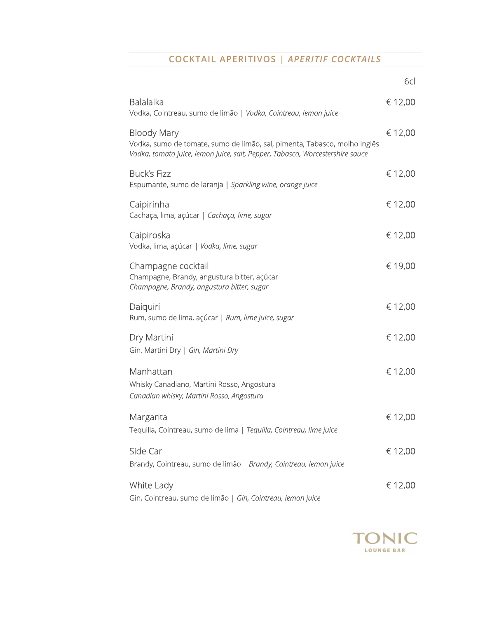### COCKTAIL APERITIVOS | APERITIF COCKTAILS

en de la construction de la construction de la construction de la construction de la construction de la constr

| <b>Balalaika</b><br>Vodka, Cointreau, sumo de limão   Vodka, Cointreau, lemon juice                                                                                              | € 12,00 |
|----------------------------------------------------------------------------------------------------------------------------------------------------------------------------------|---------|
| <b>Bloody Mary</b><br>Vodka, sumo de tomate, sumo de limão, sal, pimenta, Tabasco, molho inglês<br>Vodka, tomato juice, lemon juice, salt, Pepper, Tabasco, Worcestershire sauce | € 12,00 |
| <b>Buck's Fizz</b><br>Espumante, sumo de laranja   Sparkling wine, orange juice                                                                                                  | € 12,00 |
| Caipirinha<br>Cachaça, lima, açúcar   Cachaça, lime, sugar                                                                                                                       | € 12,00 |
| Caipiroska<br>Vodka, lima, açúcar   Vodka, lime, sugar                                                                                                                           | € 12,00 |
| Champagne cocktail<br>Champagne, Brandy, angustura bitter, açúcar<br>Champagne, Brandy, angustura bitter, sugar                                                                  | € 19,00 |
| Daiquiri<br>Rum, sumo de lima, açúcar   Rum, lime juice, sugar                                                                                                                   | € 12,00 |
| Dry Martini<br>Gin, Martini Dry   Gin, Martini Dry                                                                                                                               | € 12,00 |
| Manhattan<br>Whisky Canadiano, Martini Rosso, Angostura<br>Canadian whisky, Martini Rosso, Angostura                                                                             | € 12,00 |
| Margarita<br>Tequilla, Cointreau, sumo de lima   Tequilla, Cointreau, lime juice                                                                                                 | € 12,00 |
| Side Car<br>Brandy, Cointreau, sumo de limão   Brandy, Cointreau, lemon juice                                                                                                    | € 12,00 |
| White Lady<br>Gin, Cointreau, sumo de limão   Gin, Cointreau, lemon juice                                                                                                        | € 12,00 |

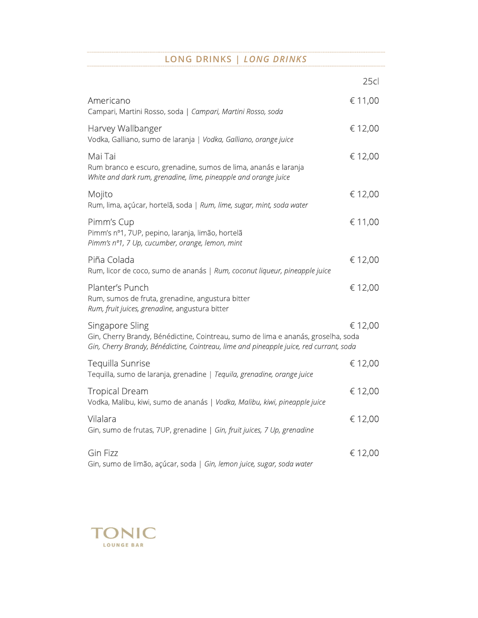### LONG DRINKS | LONG DRINKS

|                                                                                                                                                                                                 | 25cl    |  |
|-------------------------------------------------------------------------------------------------------------------------------------------------------------------------------------------------|---------|--|
| Americano<br>Campari, Martini Rosso, soda   Campari, Martini Rosso, soda                                                                                                                        | € 11,00 |  |
| Harvey Wallbanger<br>Vodka, Galliano, sumo de laranja   Vodka, Galliano, orange juice                                                                                                           | € 12,00 |  |
| Mai Tai<br>Rum branco e escuro, grenadine, sumos de lima, ananás e laranja<br>White and dark rum, grenadine, lime, pineapple and orange juice                                                   | € 12,00 |  |
| Mojito<br>Rum, lima, açúcar, hortelã, soda   Rum, lime, sugar, mint, soda water                                                                                                                 | € 12,00 |  |
| Pimm's Cup<br>Pimm's nº1, 7UP, pepino, laranja, limão, hortelã<br>Pimm's nº1, 7 Up, cucumber, orange, lemon, mint                                                                               | € 11,00 |  |
| Piña Colada<br>Rum, licor de coco, sumo de ananás   Rum, coconut liqueur, pineapple juice                                                                                                       | € 12,00 |  |
| Planter's Punch<br>Rum, sumos de fruta, grenadine, angustura bitter<br>Rum, fruit juices, grenadine, angustura bitter                                                                           | € 12,00 |  |
| Singapore Sling<br>Gin, Cherry Brandy, Bénédictine, Cointreau, sumo de lima e ananás, groselha, soda<br>Gin, Cherry Brandy, Bénédictine, Cointreau, lime and pineapple juice, red currant, soda | € 12,00 |  |
| Tequilla Sunrise<br>Tequilla, sumo de laranja, grenadine   Tequila, grenadine, orange juice                                                                                                     | € 12,00 |  |
| <b>Tropical Dream</b><br>Vodka, Malibu, kiwi, sumo de ananás   Vodka, Malibu, kiwi, pineapple juice                                                                                             | € 12,00 |  |
| Vilalara<br>Gin, sumo de frutas, 7UP, grenadine   Gin, fruit juices, 7 Up, grenadine                                                                                                            | € 12,00 |  |
| <b>Gin Fizz</b><br>Gin, sumo de limão, açúcar, soda   Gin, lemon juice, sugar, soda water                                                                                                       | € 12,00 |  |

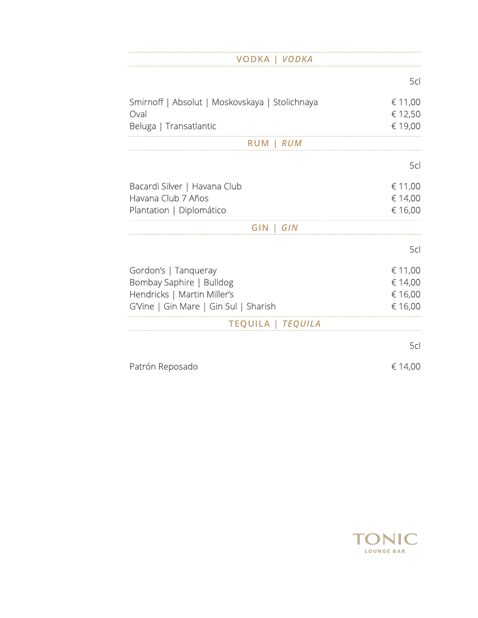| <b>VODKA   VODKA</b>                           |         |
|------------------------------------------------|---------|
|                                                | 5cl     |
| Smirnoff   Absolut   Moskovskaya   Stolichnaya | € 11,00 |
| Oval                                           | € 12,50 |
| Beluga   Transatlantic                         | € 19,00 |
| <b>RUM</b><br><b>RUM</b>                       |         |
|                                                | 5cl     |
| Bacardi Silver   Havana Club                   | € 11,00 |
| Havana Club 7 Años                             | € 14,00 |
| Plantation   Diplomático                       | € 16,00 |
| GIN<br><b>GIN</b>                              |         |
|                                                | 5cl     |
| Gordon's   Tanqueray                           | € 11,00 |
| Bombay Saphire   Bulldog                       | € 14,00 |
| Hendricks   Martin Miller's                    | € 16,00 |
| G'Vine   Gin Mare   Gin Sul   Sharish          | € 16,00 |
| <b>TEQUILA   TEQUILA</b>                       |         |
|                                                | 5cl     |
| Patrón Reposado                                | € 14,00 |
|                                                |         |

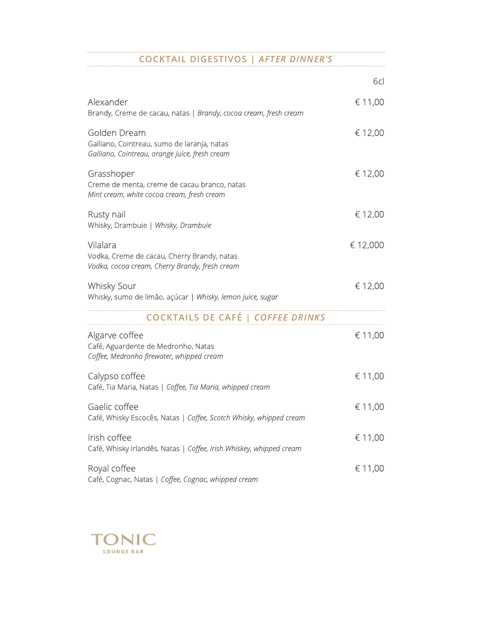### COCKTAIL DIGESTIVOS | AFTER DINNER'S

|                                                                                                               | 6cl      |
|---------------------------------------------------------------------------------------------------------------|----------|
| Alexander<br>Brandy, Creme de cacau, natas   Brandy, cocoa cream, fresh cream                                 | € 11,00  |
| Golden Dream<br>Galliano, Cointreau, sumo de laranja, natas<br>Galliano, Cointreau, orange juice, fresh cream | € 12,00  |
| Grasshoper<br>Creme de menta, creme de cacau branco, natas<br>Mint cream, white cocoa cream, fresh cream      | € 12,00  |
| Rusty nail<br>Whisky, Drambuie   Whisky, Drambuie                                                             | € 12,00  |
| Vilalara<br>Vodka, Creme de cacau, Cherry Brandy, natas<br>Vodka, cocoa cream, Cherry Brandy, fresh cream     | € 12,000 |
| <b>Whisky Sour</b><br>Whisky, sumo de limão, açúcar   Whisky, lemon juice, sugar                              | € 12,00  |
| <b>COCKTAILS DE CAFÉ   COFFEE DRINKS</b>                                                                      |          |
| Algarve coffee<br>Café, Aguardente de Medronho, Natas<br>Coffee, Medronho firewater, whipped cream            | € 11,00  |
| Calypso coffee<br>Café, Tia Maria, Natas   Coffee, Tia Maria, whipped cream                                   | € 11,00  |
| Gaelic coffee<br>Café, Whisky Escocês, Natas   Coffee, Scotch Whisky, whipped cream                           | € 11,00  |
| Irish coffee<br>Café, Whisky Irlandês, Natas   Coffee, Irish Whiskey, whipped cream                           | € 11,00  |
| Royal coffee<br>Café, Cognac, Natas   Coffee, Cognac, whipped cream                                           | € 11,00  |

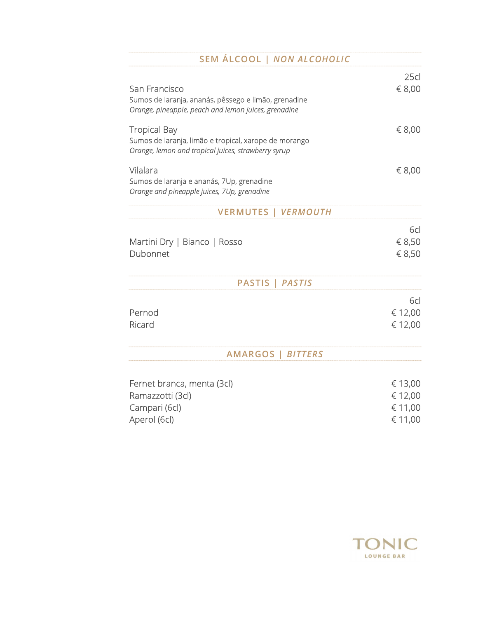| SEM ÁLCOOL   NON ALCOHOLIC                                                                                                          |                                          |
|-------------------------------------------------------------------------------------------------------------------------------------|------------------------------------------|
| San Francisco<br>Sumos de laranja, ananás, pêssego e limão, grenadine<br>Orange, pineapple, peach and lemon juices, grenadine       | 25cl<br>€ 8,00                           |
| <b>Tropical Bay</b><br>Sumos de laranja, limão e tropical, xarope de morango<br>Orange, lemon and tropical juices, strawberry syrup | € 8,00                                   |
| Vilalara<br>Sumos de laranja e ananás, 7Up, grenadine<br>Orange and pineapple juices, 7Up, grenadine                                | € 8,00                                   |
| <b>VERMUTES   VERMOUTH</b>                                                                                                          |                                          |
| Martini Dry   Bianco   Rosso<br>Dubonnet                                                                                            | 6cl<br>€ 8,50<br>€ 8,50                  |
| <b>PASTIS</b><br><b>PASTIS</b>                                                                                                      |                                          |
| Pernod<br>Ricard                                                                                                                    | 6cl<br>€ 12,00<br>€ 12,00                |
| <b>AMARGOS</b><br><b>BITTERS</b>                                                                                                    |                                          |
| Fernet branca, menta (3cl)<br>Ramazzotti (3cl)<br>Campari (6cl)<br>Aperol (6cl)                                                     | € 13,00<br>€ 12,00<br>€ 11,00<br>€ 11,00 |